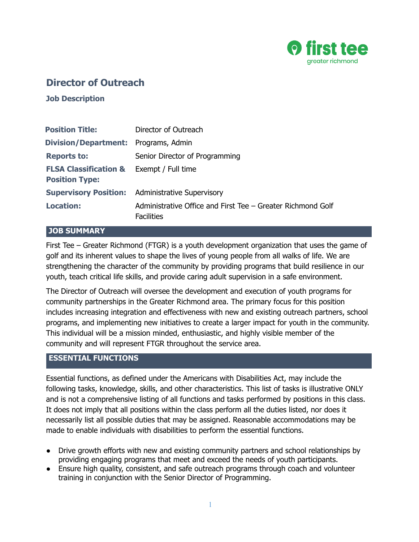

# **Director of Outreach**

**Job Description**

| <b>Position Title:</b>                                                       | Director of Outreach                                                             |
|------------------------------------------------------------------------------|----------------------------------------------------------------------------------|
| <b>Division/Department:</b> Programs, Admin.                                 |                                                                                  |
| <b>Reports to:</b>                                                           | Senior Director of Programming                                                   |
| <b>FLSA Classification &amp; Exempt / Full time</b><br><b>Position Type:</b> |                                                                                  |
|                                                                              | <b>Supervisory Position:</b> Administrative Supervisory                          |
| <b>Location:</b>                                                             | Administrative Office and First Tee – Greater Richmond Golf<br><b>Facilities</b> |

#### **JOB SUMMARY**

First Tee – Greater Richmond (FTGR) is a youth development organization that uses the game of golf and its inherent values to shape the lives of young people from all walks of life. We are strengthening the character of the community by providing programs that build resilience in our youth, teach critical life skills, and provide caring adult supervision in a safe environment.

The Director of Outreach will oversee the development and execution of youth programs for community partnerships in the Greater Richmond area. The primary focus for this position includes increasing integration and effectiveness with new and existing outreach partners, school programs, and implementing new initiatives to create a larger impact for youth in the community. This individual will be a mission minded, enthusiastic, and highly visible member of the community and will represent FTGR throughout the service area.

#### **ESSENTIAL FUNCTIONS**

Essential functions, as defined under the Americans with Disabilities Act, may include the following tasks, knowledge, skills, and other characteristics. This list of tasks is illustrative ONLY and is not a comprehensive listing of all functions and tasks performed by positions in this class. It does not imply that all positions within the class perform all the duties listed, nor does it necessarily list all possible duties that may be assigned. Reasonable accommodations may be made to enable individuals with disabilities to perform the essential functions.

- Drive growth efforts with new and existing community partners and school relationships by providing engaging programs that meet and exceed the needs of youth participants.
- Ensure high quality, consistent, and safe outreach programs through coach and volunteer training in conjunction with the Senior Director of Programming.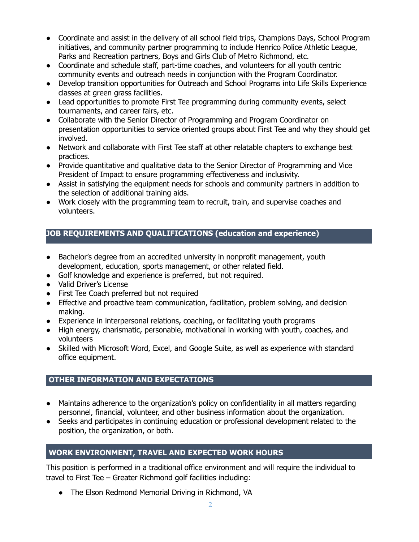- Coordinate and assist in the delivery of all school field trips, Champions Days, School Program initiatives, and community partner programming to include Henrico Police Athletic League, Parks and Recreation partners, Boys and Girls Club of Metro Richmond, etc.
- Coordinate and schedule staff, part-time coaches, and volunteers for all youth centric community events and outreach needs in conjunction with the Program Coordinator.
- Develop transition opportunities for Outreach and School Programs into Life Skills Experience classes at green grass facilities.
- Lead opportunities to promote First Tee programming during community events, select tournaments, and career fairs, etc.
- Collaborate with the Senior Director of Programming and Program Coordinator on presentation opportunities to service oriented groups about First Tee and why they should get involved.
- Network and collaborate with First Tee staff at other relatable chapters to exchange best practices.
- Provide quantitative and qualitative data to the Senior Director of Programming and Vice President of Impact to ensure programming effectiveness and inclusivity.
- Assist in satisfying the equipment needs for schools and community partners in addition to the selection of additional training aids.
- Work closely with the programming team to recruit, train, and supervise coaches and volunteers.

# **JOB REQUIREMENTS AND QUALIFICATIONS (education and experience)**

- Bachelor's degree from an accredited university in nonprofit management, youth development, education, sports management, or other related field.
- Golf knowledge and experience is preferred, but not required.
- Valid Driver's License
- First Tee Coach preferred but not required
- Effective and proactive team communication, facilitation, problem solving, and decision making.
- Experience in interpersonal relations, coaching, or facilitating youth programs
- High energy, charismatic, personable, motivational in working with youth, coaches, and volunteers
- Skilled with Microsoft Word, Excel, and Google Suite, as well as experience with standard office equipment.

## **OTHER INFORMATION AND EXPECTATIONS**

- Maintains adherence to the organization's policy on confidentiality in all matters regarding personnel, financial, volunteer, and other business information about the organization.
- Seeks and participates in continuing education or professional development related to the position, the organization, or both.

# **WORK ENVIRONMENT, TRAVEL AND EXPECTED WORK HOURS**

This position is performed in a traditional office environment and will require the individual to travel to First Tee – Greater Richmond golf facilities including:

• The Elson Redmond Memorial Driving in Richmond, VA